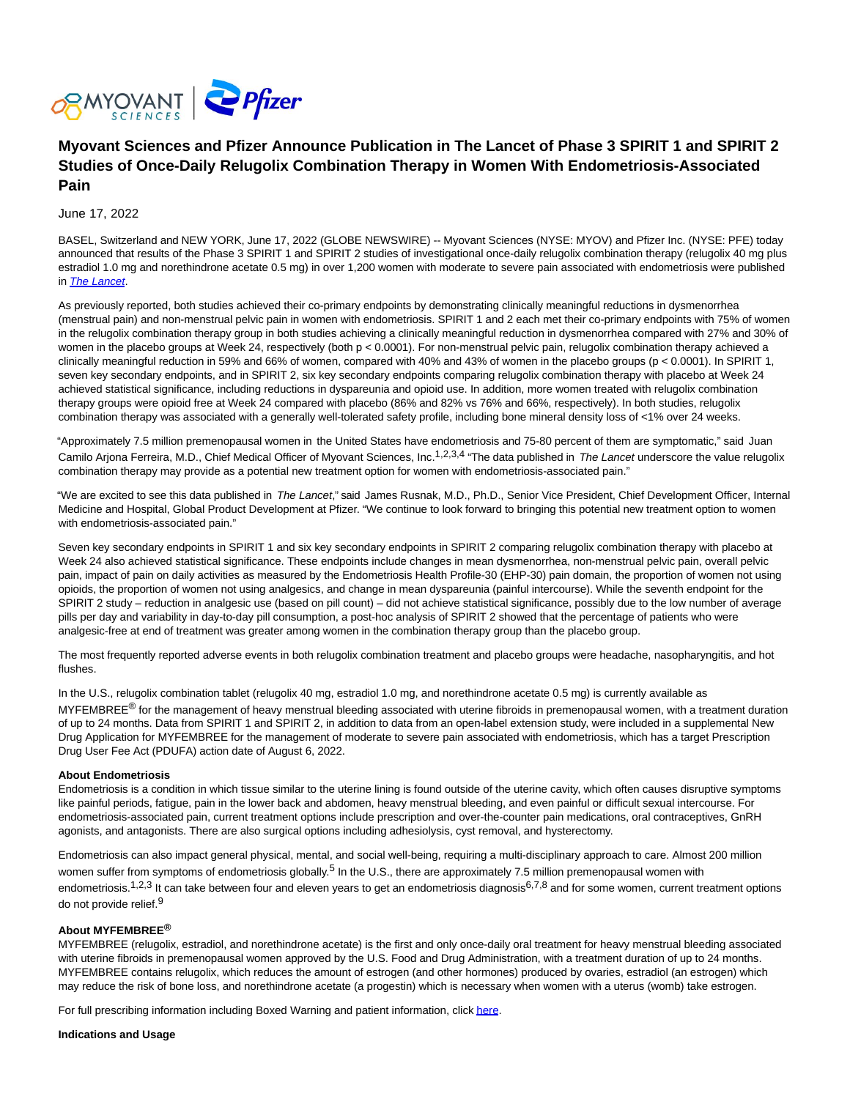

# **Myovant Sciences and Pfizer Announce Publication in The Lancet of Phase 3 SPIRIT 1 and SPIRIT 2 Studies of Once-Daily Relugolix Combination Therapy in Women With Endometriosis-Associated Pain**

# June 17, 2022

BASEL, Switzerland and NEW YORK, June 17, 2022 (GLOBE NEWSWIRE) -- Myovant Sciences (NYSE: MYOV) and Pfizer Inc. (NYSE: PFE) today announced that results of the Phase 3 SPIRIT 1 and SPIRIT 2 studies of investigational once-daily relugolix combination therapy (relugolix 40 mg plus estradiol 1.0 mg and norethindrone acetate 0.5 mg) in over 1,200 women with moderate to severe pain associated with endometriosis were published in [The Lancet](https://www.globenewswire.com/Tracker?data=b4THAVn2YxkunsMSegy8K3lbwfybUBTedsh0JJvx5TAWLOvgvMBumQ9EIqDo81KuoW9a8OtPR5uYmXfvpNOEeSb8t_CC-U8A5C3rrs9rQOPQAkwZd5vIp7KmlVds-6aVa9qwwVXth5IrnataX6puAqY8v4lN3xDJ8YyYx_G6fVZcsT2w-yiFOPLB282KRchBbCfqPy69MLE0BtAGreYIu7SpfVy0rKAt2pT9mKNkWh_3_PM6Uv4LoNU6dj5O-QT8rGj1B-turI0B9jVbfNGU-5yG3_a4yGzHxLqaBHeyHxsnb9anikhAQUoJCK1Py8muIg8rzjoBc6ir2OpO__ARyA==).

As previously reported, both studies achieved their co-primary endpoints by demonstrating clinically meaningful reductions in dysmenorrhea (menstrual pain) and non-menstrual pelvic pain in women with endometriosis. SPIRIT 1 and 2 each met their co-primary endpoints with 75% of women in the relugolix combination therapy group in both studies achieving a clinically meaningful reduction in dysmenorrhea compared with 27% and 30% of women in the placebo groups at Week 24, respectively (both p < 0.0001). For non-menstrual pelvic pain, relugolix combination therapy achieved a clinically meaningful reduction in 59% and 66% of women, compared with 40% and 43% of women in the placebo groups (p < 0.0001). In SPIRIT 1, seven key secondary endpoints, and in SPIRIT 2, six key secondary endpoints comparing relugolix combination therapy with placebo at Week 24 achieved statistical significance, including reductions in dyspareunia and opioid use. In addition, more women treated with relugolix combination therapy groups were opioid free at Week 24 compared with placebo (86% and 82% vs 76% and 66%, respectively). In both studies, relugolix combination therapy was associated with a generally well-tolerated safety profile, including bone mineral density loss of <1% over 24 weeks.

"Approximately 7.5 million premenopausal women in the United States have endometriosis and 75-80 percent of them are symptomatic," said Juan Camilo Arjona Ferreira, M.D., Chief Medical Officer of Myovant Sciences, Inc.<sup>1,2,3,4</sup> "The data published in The Lancet underscore the value relugolix combination therapy may provide as a potential new treatment option for women with endometriosis-associated pain."

"We are excited to see this data published in The Lancet." said James Rusnak, M.D., Ph.D., Senior Vice President, Chief Development Officer, Internal Medicine and Hospital, Global Product Development at Pfizer. "We continue to look forward to bringing this potential new treatment option to women with endometriosis-associated pain."

Seven key secondary endpoints in SPIRIT 1 and six key secondary endpoints in SPIRIT 2 comparing relugolix combination therapy with placebo at Week 24 also achieved statistical significance. These endpoints include changes in mean dysmenorrhea, non-menstrual pelvic pain, overall pelvic pain, impact of pain on daily activities as measured by the Endometriosis Health Profile-30 (EHP-30) pain domain, the proportion of women not using opioids, the proportion of women not using analgesics, and change in mean dyspareunia (painful intercourse). While the seventh endpoint for the SPIRIT 2 study – reduction in analgesic use (based on pill count) – did not achieve statistical significance, possibly due to the low number of average pills per day and variability in day-to-day pill consumption, a post-hoc analysis of SPIRIT 2 showed that the percentage of patients who were analgesic-free at end of treatment was greater among women in the combination therapy group than the placebo group.

The most frequently reported adverse events in both relugolix combination treatment and placebo groups were headache, nasopharyngitis, and hot flushes.

In the U.S., relugolix combination tablet (relugolix 40 mg, estradiol 1.0 mg, and norethindrone acetate 0.5 mg) is currently available as MYFEMBREE<sup>®</sup> for the management of heavy menstrual bleeding associated with uterine fibroids in premenopausal women, with a treatment duration of up to 24 months. Data from SPIRIT 1 and SPIRIT 2, in addition to data from an open-label extension study, were included in a supplemental New Drug Application for MYFEMBREE for the management of moderate to severe pain associated with endometriosis, which has a target Prescription Drug User Fee Act (PDUFA) action date of August 6, 2022.

#### **About Endometriosis**

Endometriosis is a condition in which tissue similar to the uterine lining is found outside of the uterine cavity, which often causes disruptive symptoms like painful periods, fatigue, pain in the lower back and abdomen, heavy menstrual bleeding, and even painful or difficult sexual intercourse. For endometriosis-associated pain, current treatment options include prescription and over-the-counter pain medications, oral contraceptives, GnRH agonists, and antagonists. There are also surgical options including adhesiolysis, cyst removal, and hysterectomy.

Endometriosis can also impact general physical, mental, and social well-being, requiring a multi-disciplinary approach to care. Almost 200 million women suffer from symptoms of endometriosis globally.<sup>5</sup> In the U.S., there are approximately 7.5 million premenopausal women with endometriosis.<sup>1,2,3</sup> It can take between four and eleven years to get an endometriosis diagnosis<sup>6,7,8</sup> and for some women, current treatment options do not provide relief.9

#### **About MYFEMBREE®**

MYFEMBREE (relugolix, estradiol, and norethindrone acetate) is the first and only once-daily oral treatment for heavy menstrual bleeding associated with uterine fibroids in premenopausal women approved by the U.S. Food and Drug Administration, with a treatment duration of up to 24 months. MYFEMBREE contains relugolix, which reduces the amount of estrogen (and other hormones) produced by ovaries, estradiol (an estrogen) which may reduce the risk of bone loss, and norethindrone acetate (a progestin) which is necessary when women with a uterus (womb) take estrogen.

For full prescribing information including Boxed Warning and patient information, clic[k here.](https://www.globenewswire.com/Tracker?data=x2G1wD9ONdpF1aWN0nibp0zCXLXv_fbgA-5wp_L99flGgc7Ohn3k6IlJdo2OXmPpUMnjGqncgqcvTuFnEb2ctdlv1xkcjbnb-0SwGRoASPlwjszPqw5gY-SxeVhW8xgDaMVWku52XFpN8jj2kua1fG0XY-M2s2p086FG4t25VD-fUbs0GZnprbxsH2UnnDVDZe9GEosV2BoI7MX8zq1ek1q9Z06PEKpwgDsRZFZgd7znPO-Wo4nyyHsXgL6UWunuVFvCc27gWVOutDiTTJhcv2EuMxjSmg204F0MEGqOIgLYnaxrWHQYwt5ZF0IgFGBTEr1nEmxVTVjx2vyBMNuY5A==)

#### **Indications and Usage**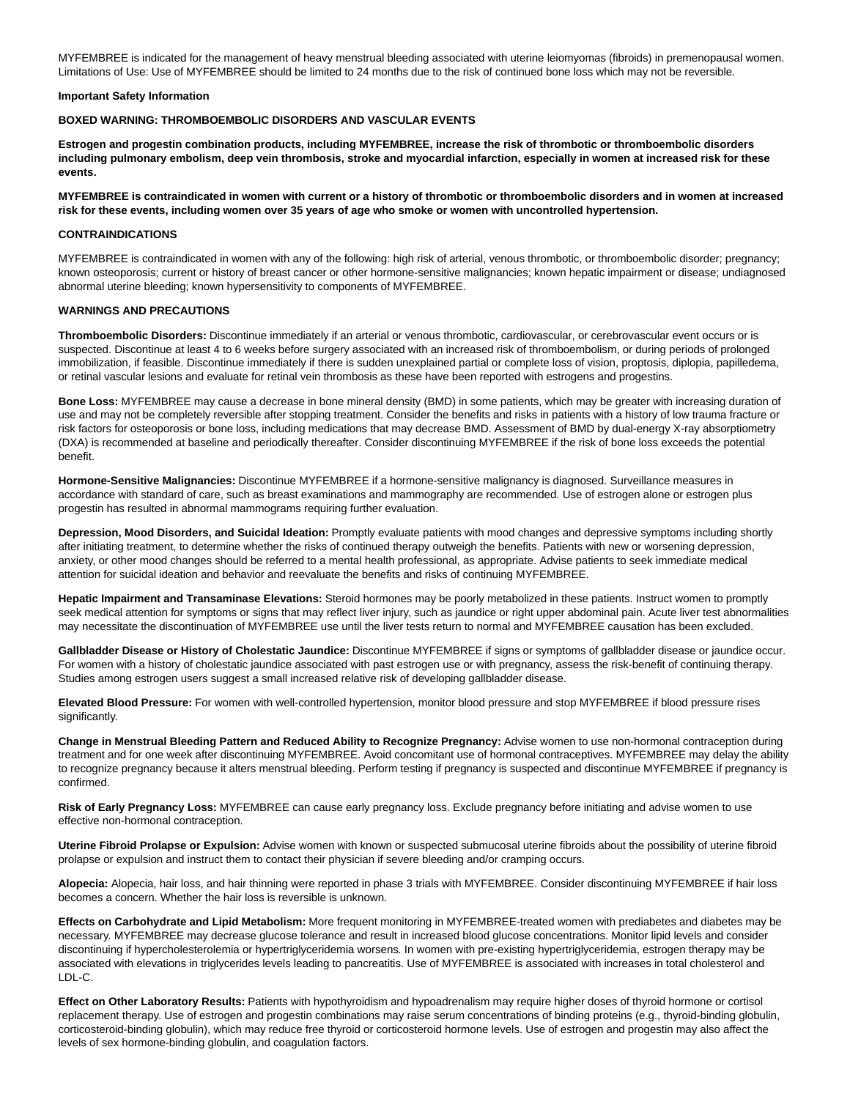MYFEMBREE is indicated for the management of heavy menstrual bleeding associated with uterine leiomyomas (fibroids) in premenopausal women. Limitations of Use: Use of MYFEMBREE should be limited to 24 months due to the risk of continued bone loss which may not be reversible.

#### **Important Safety Information**

#### **BOXED WARNING: THROMBOEMBOLIC DISORDERS AND VASCULAR EVENTS**

**Estrogen and progestin combination products, including MYFEMBREE, increase the risk of thrombotic or thromboembolic disorders including pulmonary embolism, deep vein thrombosis, stroke and myocardial infarction, especially in women at increased risk for these events.**

**MYFEMBREE is contraindicated in women with current or a history of thrombotic or thromboembolic disorders and in women at increased risk for these events, including women over 35 years of age who smoke or women with uncontrolled hypertension.**

### **CONTRAINDICATIONS**

MYFEMBREE is contraindicated in women with any of the following: high risk of arterial, venous thrombotic, or thromboembolic disorder; pregnancy; known osteoporosis; current or history of breast cancer or other hormone-sensitive malignancies; known hepatic impairment or disease; undiagnosed abnormal uterine bleeding; known hypersensitivity to components of MYFEMBREE.

## **WARNINGS AND PRECAUTIONS**

**Thromboembolic Disorders:** Discontinue immediately if an arterial or venous thrombotic, cardiovascular, or cerebrovascular event occurs or is suspected. Discontinue at least 4 to 6 weeks before surgery associated with an increased risk of thromboembolism, or during periods of prolonged immobilization, if feasible. Discontinue immediately if there is sudden unexplained partial or complete loss of vision, proptosis, diplopia, papilledema, or retinal vascular lesions and evaluate for retinal vein thrombosis as these have been reported with estrogens and progestins.

**Bone Loss:** MYFEMBREE may cause a decrease in bone mineral density (BMD) in some patients, which may be greater with increasing duration of use and may not be completely reversible after stopping treatment. Consider the benefits and risks in patients with a history of low trauma fracture or risk factors for osteoporosis or bone loss, including medications that may decrease BMD. Assessment of BMD by dual-energy X-ray absorptiometry (DXA) is recommended at baseline and periodically thereafter. Consider discontinuing MYFEMBREE if the risk of bone loss exceeds the potential benefit.

**Hormone-Sensitive Malignancies:** Discontinue MYFEMBREE if a hormone-sensitive malignancy is diagnosed. Surveillance measures in accordance with standard of care, such as breast examinations and mammography are recommended. Use of estrogen alone or estrogen plus progestin has resulted in abnormal mammograms requiring further evaluation.

**Depression, Mood Disorders, and Suicidal Ideation:** Promptly evaluate patients with mood changes and depressive symptoms including shortly after initiating treatment, to determine whether the risks of continued therapy outweigh the benefits. Patients with new or worsening depression, anxiety, or other mood changes should be referred to a mental health professional, as appropriate. Advise patients to seek immediate medical attention for suicidal ideation and behavior and reevaluate the benefits and risks of continuing MYFEMBREE.

**Hepatic Impairment and Transaminase Elevations:** Steroid hormones may be poorly metabolized in these patients. Instruct women to promptly seek medical attention for symptoms or signs that may reflect liver injury, such as jaundice or right upper abdominal pain. Acute liver test abnormalities may necessitate the discontinuation of MYFEMBREE use until the liver tests return to normal and MYFEMBREE causation has been excluded.

**Gallbladder Disease or History of Cholestatic Jaundice:** Discontinue MYFEMBREE if signs or symptoms of gallbladder disease or jaundice occur. For women with a history of cholestatic jaundice associated with past estrogen use or with pregnancy, assess the risk-benefit of continuing therapy. Studies among estrogen users suggest a small increased relative risk of developing gallbladder disease.

**Elevated Blood Pressure:** For women with well-controlled hypertension, monitor blood pressure and stop MYFEMBREE if blood pressure rises significantly.

**Change in Menstrual Bleeding Pattern and Reduced Ability to Recognize Pregnancy:** Advise women to use non-hormonal contraception during treatment and for one week after discontinuing MYFEMBREE. Avoid concomitant use of hormonal contraceptives. MYFEMBREE may delay the ability to recognize pregnancy because it alters menstrual bleeding. Perform testing if pregnancy is suspected and discontinue MYFEMBREE if pregnancy is confirmed.

**Risk of Early Pregnancy Loss:** MYFEMBREE can cause early pregnancy loss. Exclude pregnancy before initiating and advise women to use effective non-hormonal contraception.

**Uterine Fibroid Prolapse or Expulsion:** Advise women with known or suspected submucosal uterine fibroids about the possibility of uterine fibroid prolapse or expulsion and instruct them to contact their physician if severe bleeding and/or cramping occurs.

**Alopecia:** Alopecia, hair loss, and hair thinning were reported in phase 3 trials with MYFEMBREE. Consider discontinuing MYFEMBREE if hair loss becomes a concern. Whether the hair loss is reversible is unknown.

**Effects on Carbohydrate and Lipid Metabolism:** More frequent monitoring in MYFEMBREE-treated women with prediabetes and diabetes may be necessary. MYFEMBREE may decrease glucose tolerance and result in increased blood glucose concentrations. Monitor lipid levels and consider discontinuing if hypercholesterolemia or hypertriglyceridemia worsens. In women with pre-existing hypertriglyceridemia, estrogen therapy may be associated with elevations in triglycerides levels leading to pancreatitis. Use of MYFEMBREE is associated with increases in total cholesterol and LDL-C.

**Effect on Other Laboratory Results:** Patients with hypothyroidism and hypoadrenalism may require higher doses of thyroid hormone or cortisol replacement therapy. Use of estrogen and progestin combinations may raise serum concentrations of binding proteins (e.g., thyroid-binding globulin, corticosteroid-binding globulin), which may reduce free thyroid or corticosteroid hormone levels. Use of estrogen and progestin may also affect the levels of sex hormone-binding globulin, and coagulation factors.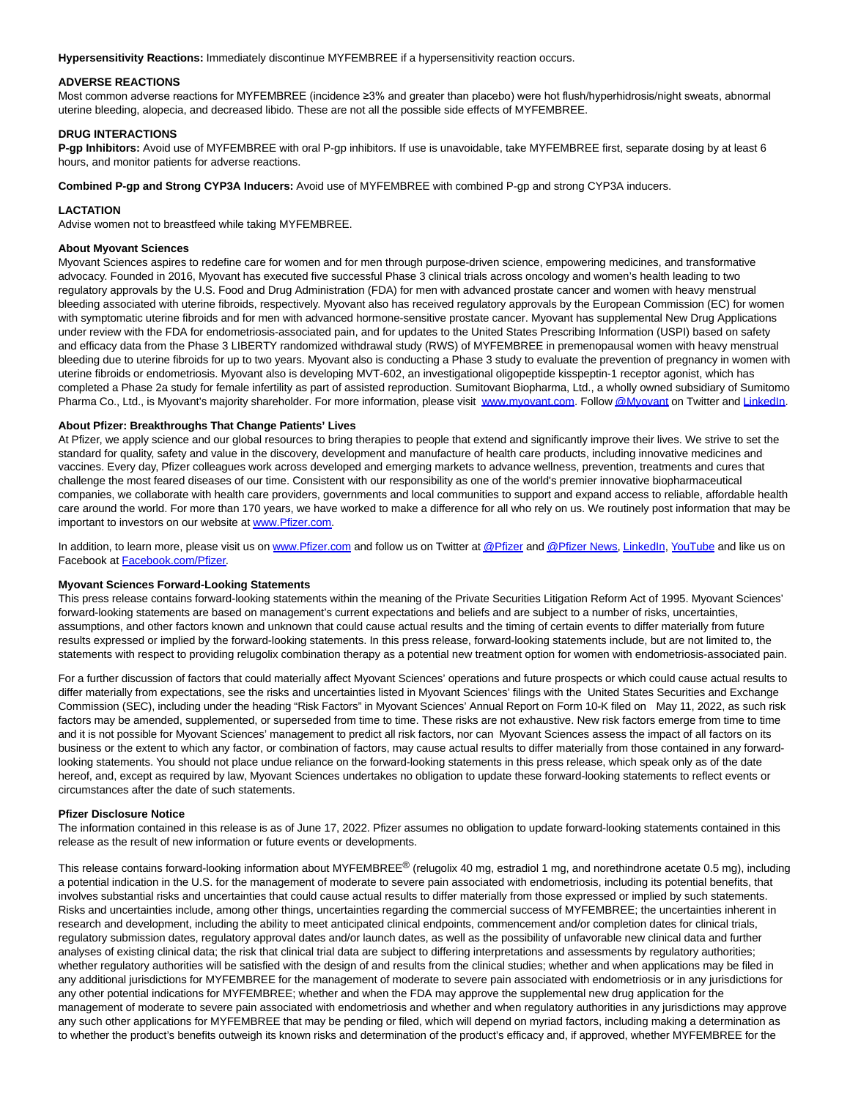**Hypersensitivity Reactions:** Immediately discontinue MYFEMBREE if a hypersensitivity reaction occurs.

## **ADVERSE REACTIONS**

Most common adverse reactions for MYFEMBREE (incidence ≥3% and greater than placebo) were hot flush/hyperhidrosis/night sweats, abnormal uterine bleeding, alopecia, and decreased libido. These are not all the possible side effects of MYFEMBREE.

## **DRUG INTERACTIONS**

**P-gp Inhibitors:** Avoid use of MYFEMBREE with oral P-gp inhibitors. If use is unavoidable, take MYFEMBREE first, separate dosing by at least 6 hours, and monitor patients for adverse reactions.

**Combined P-gp and Strong CYP3A Inducers:** Avoid use of MYFEMBREE with combined P-gp and strong CYP3A inducers.

## **LACTATION**

Advise women not to breastfeed while taking MYFEMBREE.

## **About Myovant Sciences**

Myovant Sciences aspires to redefine care for women and for men through purpose-driven science, empowering medicines, and transformative advocacy. Founded in 2016, Myovant has executed five successful Phase 3 clinical trials across oncology and women's health leading to two regulatory approvals by the U.S. Food and Drug Administration (FDA) for men with advanced prostate cancer and women with heavy menstrual bleeding associated with uterine fibroids, respectively. Myovant also has received regulatory approvals by the European Commission (EC) for women with symptomatic uterine fibroids and for men with advanced hormone-sensitive prostate cancer. Myovant has supplemental New Drug Applications under review with the FDA for endometriosis-associated pain, and for updates to the United States Prescribing Information (USPI) based on safety and efficacy data from the Phase 3 LIBERTY randomized withdrawal study (RWS) of MYFEMBREE in premenopausal women with heavy menstrual bleeding due to uterine fibroids for up to two years. Myovant also is conducting a Phase 3 study to evaluate the prevention of pregnancy in women with uterine fibroids or endometriosis. Myovant also is developing MVT-602, an investigational oligopeptide kisspeptin-1 receptor agonist, which has completed a Phase 2a study for female infertility as part of assisted reproduction. Sumitovant Biopharma, Ltd., a wholly owned subsidiary of Sumitomo Pharma Co., Ltd., is Myovant's majority shareholder. For more information, please visit [www.myovant.com.](https://www.globenewswire.com/Tracker?data=oNCS6J1R-A0Yva6l3NtWTYSwvpHCJasmOzBOc3gxSd3IDzCYo8-mRGjI7Kg1IdTDI-SporbUOdZuZddBqaQ5YQ==) Follo[w @Myovant o](https://www.globenewswire.com/Tracker?data=IyGeM5u2-UJb_aRaLQFUEEux60LIqzaV4i7j-VuaV4l_TtELy5HebidwJyuRh0pfgTCJ6RQ2mzVgkCU4oySQfg==)n Twitter and [LinkedIn.](https://www.globenewswire.com/Tracker?data=dHrWVD1D06n3u7ezAgukcu9VI-pSiRx4NLiCUsl1553F3gLJ6fwitJra3bEBpBZMIhpWCCvT_g8H21lulVf5t4Lw0uNabvneTN6mU57YNHE=)

# **About Pfizer: Breakthroughs That Change Patients' Lives**

At Pfizer, we apply science and our global resources to bring therapies to people that extend and significantly improve their lives. We strive to set the standard for quality, safety and value in the discovery, development and manufacture of health care products, including innovative medicines and vaccines. Every day, Pfizer colleagues work across developed and emerging markets to advance wellness, prevention, treatments and cures that challenge the most feared diseases of our time. Consistent with our responsibility as one of the world's premier innovative biopharmaceutical companies, we collaborate with health care providers, governments and local communities to support and expand access to reliable, affordable health care around the world. For more than 170 years, we have worked to make a difference for all who rely on us. We routinely post information that may be important to investors on our website a[t www.Pfizer.com.](https://www.globenewswire.com/Tracker?data=IBj2Vy-iUGCHbgtomsl3G63chDdXAu98R0A9YbMDuPURLgMnRgz1GOqK9vZHXFau_FgCPFUcp5yI_O3F-uOJcg==)

In addition, to learn more, please visit us on [www.Pfizer.com a](https://www.globenewswire.com/Tracker?data=IBj2Vy-iUGCHbgtomsl3G-pMh189bNk-35X3c6plSA2wbCe7dboETOCcO6Ktt3dmTpma_3tmRaUaqTjbipg1CA==)nd follow us on Twitter a[t @Pfizer a](https://www.globenewswire.com/Tracker?data=HxGyq5PPrj2yweRDnYyEnxQ2OMfZLTPuLVRTVT6Lv1RKbyPvYJvyNjytZt2YT4WuyKsofwGpYK7MxI-lqP_rAw==)n[d @Pfizer News,](https://www.globenewswire.com/Tracker?data=HxGyq5PPrj2yweRDnYyEn3M8KUpdWR0o3C4ew0sUi1dJ-6ajxvtjw3PY_5QLVzMo4c__bWtxFbAdaPI4EyCTsgVBhB_O6Vml2bWSGkJcKkw=) [LinkedIn,](https://www.globenewswire.com/Tracker?data=dHrWVD1D06n3u7ezAgukcohx23tKS3440lMEZYop1UdCxXO8S2JRwG4CI_yVK6XJN_lhsMleUKxVWYWrwqgAmEgWVLqFMaLc24kFFiAmXCc=) [YouTube a](https://www.globenewswire.com/Tracker?data=q8FGEraFPupWUPSFjG0DnNqA3OQRJbSAYOor-TVpgo2pbENRmloFul_3wf-lHvRgildqgoszGH7KHqMOkUfIiQ==)nd like us on Facebook at [Facebook.com/Pfizer.](https://www.globenewswire.com/Tracker?data=3m_fdtGE7BwwzSx2cl88I-Cl-UbaGP8yg6TsqahkBnaP3F163vucfLA-SQPr4RuecqfHJa2M0VHP1RA-V8AA1in7IC2fFE-cis0Kjwbspn8=)

## **Myovant Sciences Forward-Looking Statements**

This press release contains forward-looking statements within the meaning of the Private Securities Litigation Reform Act of 1995. Myovant Sciences' forward-looking statements are based on management's current expectations and beliefs and are subject to a number of risks, uncertainties, assumptions, and other factors known and unknown that could cause actual results and the timing of certain events to differ materially from future results expressed or implied by the forward-looking statements. In this press release, forward-looking statements include, but are not limited to, the statements with respect to providing relugolix combination therapy as a potential new treatment option for women with endometriosis-associated pain.

For a further discussion of factors that could materially affect Myovant Sciences' operations and future prospects or which could cause actual results to differ materially from expectations, see the risks and uncertainties listed in Myovant Sciences' filings with the United States Securities and Exchange Commission (SEC), including under the heading "Risk Factors" in Myovant Sciences' Annual Report on Form 10-K filed on May 11, 2022, as such risk factors may be amended, supplemented, or superseded from time to time. These risks are not exhaustive. New risk factors emerge from time to time and it is not possible for Myovant Sciences' management to predict all risk factors, nor can Myovant Sciences assess the impact of all factors on its business or the extent to which any factor, or combination of factors, may cause actual results to differ materially from those contained in any forwardlooking statements. You should not place undue reliance on the forward-looking statements in this press release, which speak only as of the date hereof, and, except as required by law, Myovant Sciences undertakes no obligation to update these forward-looking statements to reflect events or circumstances after the date of such statements.

### **Pfizer Disclosure Notice**

The information contained in this release is as of June 17, 2022. Pfizer assumes no obligation to update forward-looking statements contained in this release as the result of new information or future events or developments.

This release contains forward-looking information about MYFEMBREE<sup>®</sup> (relugolix 40 mg, estradiol 1 mg, and norethindrone acetate 0.5 mg), including a potential indication in the U.S. for the management of moderate to severe pain associated with endometriosis, including its potential benefits, that involves substantial risks and uncertainties that could cause actual results to differ materially from those expressed or implied by such statements. Risks and uncertainties include, among other things, uncertainties regarding the commercial success of MYFEMBREE; the uncertainties inherent in research and development, including the ability to meet anticipated clinical endpoints, commencement and/or completion dates for clinical trials, regulatory submission dates, regulatory approval dates and/or launch dates, as well as the possibility of unfavorable new clinical data and further analyses of existing clinical data; the risk that clinical trial data are subject to differing interpretations and assessments by regulatory authorities; whether regulatory authorities will be satisfied with the design of and results from the clinical studies; whether and when applications may be filed in any additional jurisdictions for MYFEMBREE for the management of moderate to severe pain associated with endometriosis or in any jurisdictions for any other potential indications for MYFEMBREE; whether and when the FDA may approve the supplemental new drug application for the management of moderate to severe pain associated with endometriosis and whether and when regulatory authorities in any jurisdictions may approve any such other applications for MYFEMBREE that may be pending or filed, which will depend on myriad factors, including making a determination as to whether the product's benefits outweigh its known risks and determination of the product's efficacy and, if approved, whether MYFEMBREE for the